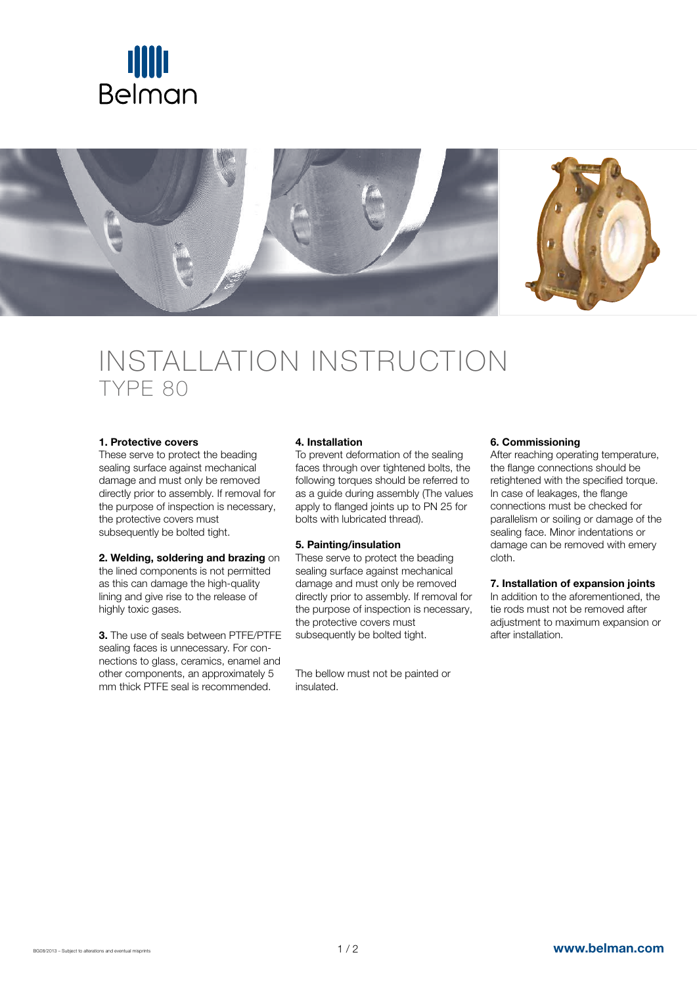



# INSTALLATION INSTRUCTION TypE 80

#### 1. Protective covers

These serve to protect the beading sealing surface against mechanical damage and must only be removed directly prior to assembly. If removal for the purpose of inspection is necessary, the protective covers must subsequently be bolted tight.

## 2. Welding, soldering and brazing on

the lined components is not permitted as this can damage the high-quality lining and give rise to the release of highly toxic gases.

3. The use of seals between PTFE/PTFE sealing faces is unnecessary. For connections to glass, ceramics, enamel and other components, an approximately 5 mm thick PTFE seal is recommended.

## 4. Installation

To prevent deformation of the sealing faces through over tightened bolts, the following torques should be referred to as a guide during assembly (The values apply to flanged joints up to PN 25 for bolts with lubricated thread).

## 5. Painting/insulation

These serve to protect the beading sealing surface against mechanical damage and must only be removed directly prior to assembly. If removal for the purpose of inspection is necessary, the protective covers must subsequently be bolted tight.

The bellow must not be painted or insulated.

## 6. Commissioning

After reaching operating temperature, the flange connections should be retightened with the specified torque. In case of leakages, the flange connections must be checked for parallelism or soiling or damage of the sealing face. Minor indentations or damage can be removed with emery cloth.

## 7. Installation of expansion joints

In addition to the aforementioned, the tie rods must not be removed after adjustment to maximum expansion or after installation.